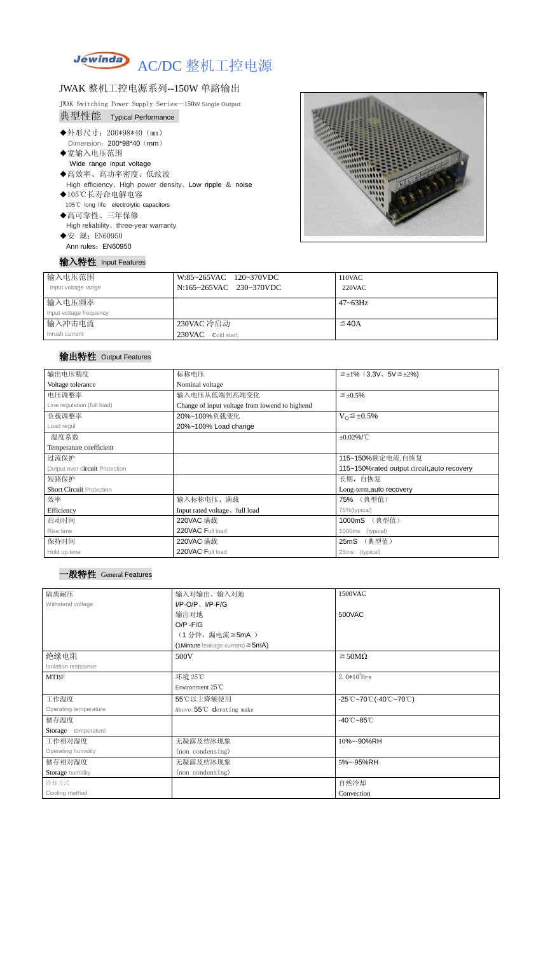

# JWAK 整机工控电源系列--150W 单路输出

JWAK Switching Power Supply Series--150**W Single Output**

- 105℃ long life electrolytic capacitors ◆高可靠性、三年保修
	- High reliability、three-year warranty
- ◆安 规: EN60950 Ann rules: EN60950

| 典型性能 Typical Performance |                                                           |  |  |  |
|--------------------------|-----------------------------------------------------------|--|--|--|
| ◆外形尺寸: 200*98*40 (mm)    |                                                           |  |  |  |
|                          | Dimension: 200*98*40 (mm)                                 |  |  |  |
| ◆宽输入电压范围                 |                                                           |  |  |  |
|                          | Wide range input voltage                                  |  |  |  |
| ◆高效率、高功率密度、低纹波           |                                                           |  |  |  |
|                          | High efficiency, High power density, Low ripple $&$ noise |  |  |  |
| ◆105℃长寿命电解电容             |                                                           |  |  |  |

## 输入特性 Input Features



| 输入电压范围<br>Input voltage range | W:85~265VAC 120~370VDC<br>N:165~265VAC 230~370VDC | 110VAC<br>$220$ VAC |
|-------------------------------|---------------------------------------------------|---------------------|
| 输入电压频率                        |                                                   | $47 - 63$ Hz        |
| Input voltage frequency       |                                                   |                     |
| 输入冲击电流                        | 230VAC 冷启动                                        | $\leq$ 40A          |
| Inrush current                | 230VAC Cold start,                                |                     |

# 输出特性 Output Features

## 一般特性 General Features

| 输出电压精度                          | 标称电压                                           | $\leq \pm 1\%$ (3.3V, 5V $\leq \pm 2\%$ )    |  |
|---------------------------------|------------------------------------------------|----------------------------------------------|--|
| Voltage tolerance               | Nominal voltage                                |                                              |  |
| 电压调整率                           | 输入电压从低端到高端变化                                   | $\leq \pm 0.5\%$                             |  |
| Line regulation (full load)     | Change of input voltage from lowend to highend |                                              |  |
| 负载调整率                           | 20%~100%负载变化                                   | $V_0 \leq \pm 0.5\%$                         |  |
| Load regul                      | 20%~100% Load change                           |                                              |  |
| 温度系数                            |                                                | $±0.02\%$ /°C                                |  |
| Temperature coefficient         |                                                |                                              |  |
| 过流保护                            |                                                | 115~150%额定电流,自恢复                             |  |
| Output over circuit Protection  |                                                | 115~150% rated output circuit, auto recovery |  |
| 短路保护                            |                                                | 长期,自恢复                                       |  |
| <b>Short Circuit Protection</b> |                                                | Long-term, auto recovery                     |  |
| 效率                              | 输入标称电压、满载                                      | 75% (典型值)                                    |  |
| Efficiency                      | Input rated voltage, full load                 | 75%(typical)                                 |  |
| 启动时间                            | 220VAC 满载                                      | 1000mS (典型值)                                 |  |
| Rise time                       | 220VAC Full load                               | 1000ms<br>(typical)                          |  |
| 保持时间                            | 220VAC 满载                                      | (典型值)<br>25 <sub>m</sub> S                   |  |
| Hold up time                    | 220VAC Full load                               | (typical)<br>25ms                            |  |

| 隔离耐压                  | 输入对输出、输入对地                             | 1500VAC                                                                               |
|-----------------------|----------------------------------------|---------------------------------------------------------------------------------------|
| Withstand voltage     | $I/P-O/P$ , $I/P-F/G$                  |                                                                                       |
|                       | 输出对地                                   | 500VAC                                                                                |
|                       | $O/P - F/G$                            |                                                                                       |
|                       | (1分钟,漏电流 ≦5mA)                         |                                                                                       |
|                       | (1Mintute leakage current) $\leq$ 5mA) |                                                                                       |
| 绝缘电阻                  | 500V                                   | $\geq$ 50M $\Omega$                                                                   |
| Isolation resistance  |                                        |                                                                                       |
| <b>MTBF</b>           | 环境 25℃                                 | $2.0*105$ Hrs                                                                         |
|                       | Environment $25^{\circ}$ C             |                                                                                       |
| 工作温度                  | 55℃以上降额使用                              | $-25^{\circ}\text{C}-70^{\circ}\text{C}$ (-40 $^{\circ}\text{C}-70^{\circ}\text{C}$ ) |
| Operating temperature | Above 55°C derating make               |                                                                                       |
| 储存温度                  |                                        | $-40^{\circ}$ C $-85^{\circ}$ C                                                       |
| Storage temperature   |                                        |                                                                                       |
| 工作相对湿度                | 无凝露及结冰现象                               | 10%~-90%RH                                                                            |
| Operating humidity    | (non condensing)                       |                                                                                       |
| 储存相对湿度                | 无凝露及结冰现象                               | 5%~-95%RH                                                                             |
| Storage humidity      | (non condensing)                       |                                                                                       |
| 冷却方式                  |                                        | 自然冷却                                                                                  |
| Cooling method        |                                        | Convection                                                                            |